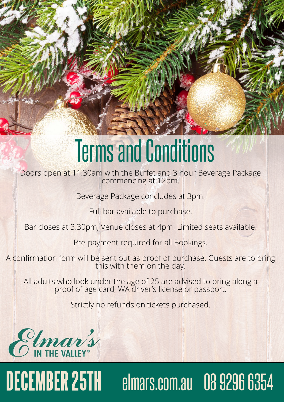# **DECEMBER 25TH DECEMBER 25TH** elmars.com.au 08 9296 6354 elmars.com.au 08 9296 6354

# Terms and Conditions

Doors open at 11.30am with the Buffet and 3 hour Beverage Package commencing at 12pm.

Beverage Package concludes at 3pm.

Full bar available to purchase.

Bar closes at 3.30pm, Venue closes at 4pm. Limited seats available.

All adults who look under the age of 25 are advised to bring along a proof of age card, WA driver's license or passport.

Pre-payment required for all Bookings.

A confirmation form will be sent out as proof of purchase. Guests are to bring this with them on the day.

# Strictly no refunds on tickets purchased.

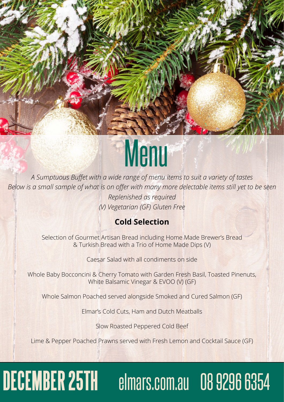# **DECEMBER 25TH** elmars.com.au 08 9296 6354

# Menu

*A Sumptuous Buffet with a wide range of menu items to suit a variety of tastes Below is a small sample of what is on offer with many more delectable items still yet to be seen Replenished as required (V) Vegetarian (GF) Gluten Free*

# **Cold Selection**

Selection of Gourmet Artisan Bread including Home Made Brewer's Bread & Turkish Bread with a Trio of Home Made Dips (V)

Caesar Salad with all condiments on side

Whole Baby Bocconcini & Cherry Tomato with Garden Fresh Basil, Toasted Pinenuts, White Balsamic Vinegar & EVOO (V) (GF)

Whole Salmon Poached served alongside Smoked and Cured Salmon (GF)

Elmar's Cold Cuts, Ham and Dutch Meatballs

Slow Roasted Peppered Cold Beef

Lime & Pepper Poached Prawns served with Fresh Lemon and Cocktail Sauce (GF)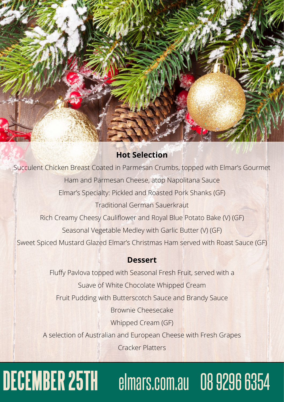



# **Hot Selection**

Succulent Chicken Breast Coated in Parmesan Crumbs, topped with Elmar's Gourmet Ham and Parmesan Cheese, atop Napolitana Sauce Elmar's Specialty: Pickled and Roasted Pork Shanks (GF) Traditional German Sauerkraut Rich Creamy Cheesy Cauliflower and Royal Blue Potato Bake (V) (GF) Seasonal Vegetable Medley with Garlic Butter (V) (GF) Sweet Spiced Mustard Glazed Elmar's Christmas Ham served with Roast Sauce (GF)

# **Dessert**

Fluffy Pavlova topped with Seasonal Fresh Fruit, served with a Suave of White Chocolate Whipped Cream Fruit Pudding with Butterscotch Sauce and Brandy Sauce

Brownie Cheesecake

Whipped Cream (GF)

# A selection of Australian and European Cheese with Fresh Grapes

Cracker Platters